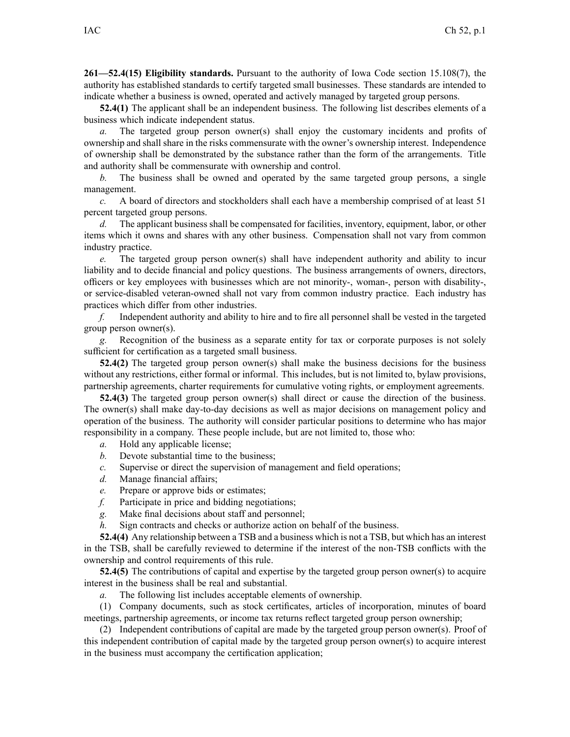**261—52.4(15) Eligibility standards.** Pursuant to the authority of Iowa Code section [15.108\(7\)](https://www.legis.iowa.gov/docs/ico/section/2017/15.108.pdf), the authority has established standards to certify targeted small businesses. These standards are intended to indicate whether <sup>a</sup> business is owned, operated and actively managed by targeted group persons.

**52.4(1)** The applicant shall be an independent business. The following list describes elements of <sup>a</sup> business which indicate independent status.

*a*. The targeted group person owner(s) shall enjoy the customary incidents and profits of ownership and shall share in the risks commensurate with the owner's ownership interest. Independence of ownership shall be demonstrated by the substance rather than the form of the arrangements. Title and authority shall be commensurate with ownership and control.

*b.* The business shall be owned and operated by the same targeted group persons, <sup>a</sup> single management.

*c.* A board of directors and stockholders shall each have <sup>a</sup> membership comprised of at least 51 percen<sup>t</sup> targeted group persons.

*d.* The applicant business shall be compensated for facilities, inventory, equipment, labor, or other items which it owns and shares with any other business. Compensation shall not vary from common industry practice.

*e.* The targeted group person owner(s) shall have independent authority and ability to incur liability and to decide financial and policy questions. The business arrangements of owners, directors, officers or key employees with businesses which are not minority-, woman-, person with disability-, or service-disabled veteran-owned shall not vary from common industry practice. Each industry has practices which differ from other industries.

*f.* Independent authority and ability to hire and to fire all personnel shall be vested in the targeted group person owner(s).

*g.* Recognition of the business as <sup>a</sup> separate entity for tax or corporate purposes is not solely sufficient for certification as <sup>a</sup> targeted small business.

**52.4(2)** The targeted group person owner(s) shall make the business decisions for the business without any restrictions, either formal or informal. This includes, but is not limited to, bylaw provisions, partnership agreements, charter requirements for cumulative voting rights, or employment agreements.

**52.4(3)** The targeted group person owner(s) shall direct or cause the direction of the business. The owner(s) shall make day-to-day decisions as well as major decisions on managemen<sup>t</sup> policy and operation of the business. The authority will consider particular positions to determine who has major responsibility in <sup>a</sup> company. These people include, but are not limited to, those who:

- *a.* Hold any applicable license;
- *b.* Devote substantial time to the business;
- *c.* Supervise or direct the supervision of managemen<sup>t</sup> and field operations;
- *d.* Manage financial affairs;
- *e.* Prepare or approve bids or estimates;
- *f.* Participate in price and bidding negotiations;
- *g.* Make final decisions about staff and personnel;
- *h.* Sign contracts and checks or authorize action on behalf of the business.

**52.4(4)** Any relationship between <sup>a</sup> TSB and <sup>a</sup> business which is not <sup>a</sup> TSB, but which has an interest in the TSB, shall be carefully reviewed to determine if the interest of the non-TSB conflicts with the ownership and control requirements of this rule.

**52.4(5)** The contributions of capital and expertise by the targeted group person owner(s) to acquire interest in the business shall be real and substantial.

*a.* The following list includes acceptable elements of ownership.

(1) Company documents, such as stock certificates, articles of incorporation, minutes of board meetings, partnership agreements, or income tax returns reflect targeted group person ownership;

(2) Independent contributions of capital are made by the targeted group person owner(s). Proof of this independent contribution of capital made by the targeted group person owner(s) to acquire interest in the business must accompany the certification application;